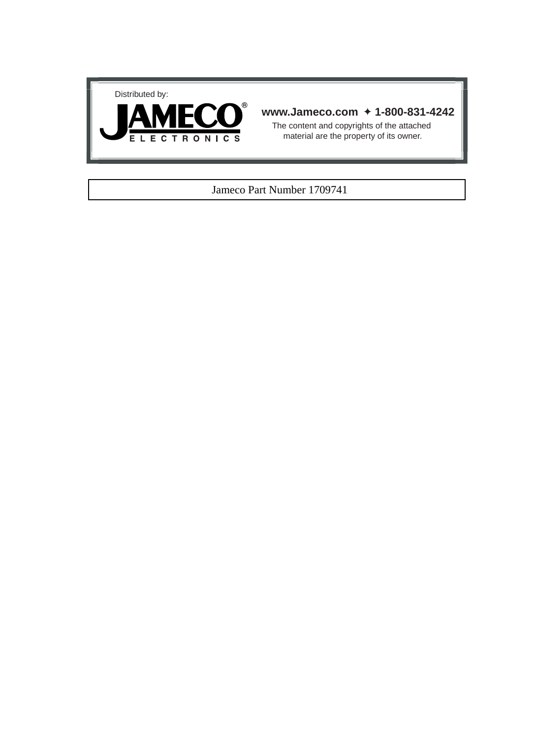



### **www.Jameco.com** ✦ **1-800-831-4242**

The content and copyrights of the attached material are the property of its owner.

### Jameco Part Number 1709741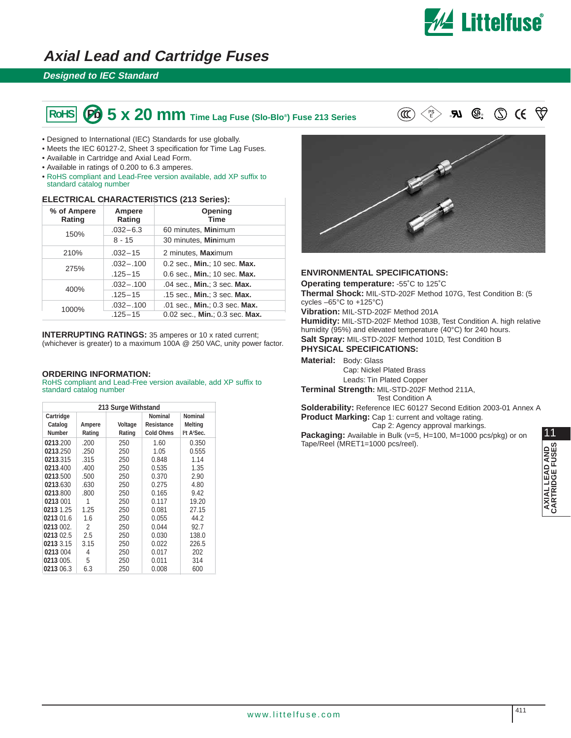

# **Axial Lead and Cartridge Fuses**

### **Designed to IEC Standard**

# $\begin{bmatrix} \text{ROHS} \end{bmatrix}$  (Pb)  $\begin{bmatrix} 5 \times 20 \text{ mm} \end{bmatrix}$  Time Lag Fuse (Slo-Blo®) Fuse 213 Series  $\text{C} \subset \mathbb{R}^3$   $\text{S} \subset \mathbb{R}^3$

 $\circled{S}$  CE

- Designed to International (IEC) Standards for use globally.
- Meets the IEC 60127-2, Sheet 3 specification for Time Lag Fuses.
- Available in Cartridge and Axial Lead Form.
- Available in ratings of 0.200 to 6.3 amperes.
- RoHS compliant and Lead-Free version available, add XP suffix to standard catalog number

### **ELECTRICAL CHARACTERISTICS (213 Series):**

| % of Ampere<br>Rating | Ampere<br>Rating | Opening<br>Time                |
|-----------------------|------------------|--------------------------------|
| 150%                  | $.032 - 6.3$     | 60 minutes, Minimum            |
|                       | 8 - 15           | 30 minutes, Minimum            |
| 210%                  | $.032 - 15$      | 2 minutes, Maximum             |
| 275%                  | $.032 - .100$    | 0.2 sec., Min.; 10 sec. Max.   |
|                       | $.125 - 15$      | 0.6 sec., Min.; 10 sec. Max.   |
| 400%                  | $.032 - .100$    | .04 sec., Min.; 3 sec. Max.    |
|                       | $.125 - 15$      | .15 sec., Min.; 3 sec. Max.    |
| 1000%                 | $.032 - .100$    | .01 sec., Min.; 0.3 sec. Max.  |
|                       | $.125 - 15$      | 0.02 sec., Min.; 0.3 sec. Max. |

**INTERRUPTING RATINGS:** 35 amperes or 10 x rated current; (whichever is greater) to a maximum 100A @ 250 VAC, unity power factor.

#### **ORDERING INFORMATION:**

RoHS compliant and Lead-Free version available, add XP suffix to standard catalog number

| 213 Surge Withstand |        |         |                  |                                    |
|---------------------|--------|---------|------------------|------------------------------------|
| Cartridge           |        |         | Nominal          | Nominal                            |
| Catalog             | Ampere | Voltage | Resistance       | Melting                            |
| Number              | Rating | Rating  | <b>Cold Ohms</b> | <sup>2</sup> t A <sup>2</sup> Sec. |
| 0213.200            | .200   | 250     | 1.60             | 0.350                              |
| 0213.250            | .250   | 250     | 1.05             | 0.555                              |
| 0213.315            | .315   | 250     | 0.848            | 1.14                               |
| 0213.400            | .400   | 250     | 0.535            | 1.35                               |
| 0213.500            | .500   | 250     | 0.370            | 2.90                               |
| 0213.630            | .630   | 250     | 0.275            | 4.80                               |
| 0213.800            | .800   | 250     | 0.165            | 9.42                               |
| 0213 001            | 1      | 250     | 0.117            | 19.20                              |
| 0213 1.25           | 1.25   | 250     | 0.081            | 27.15                              |
| 0213 01.6           | 1.6    | 250     | 0.055            | 44.2                               |
| 0213 002.           | 2      | 250     | 0.044            | 92.7                               |
| 0213 02.5           | 2.5    | 250     | 0.030            | 138.0                              |
| 0213 3.15           | 3.15   | 250     | 0.022            | 226.5                              |
| 0213 004            | 4      | 250     | 0.017            | 202                                |
| 0213 005.           | 5      | 250     | 0.011            | 314                                |
| 0213 06.3           | 6.3    | 250     | 0.008            | 600                                |



#### **ENVIRONMENTAL SPECIFICATIONS:**

**Operating temperature:** -55˚C to 125˚C

**Thermal Shock:** MIL-STD-202F Method 107G, Test Condition B: (5 cycles –65°C to +125°C)

**Vibration:** MIL-STD-202F Method 201A

**Humidity:** MIL-STD-202F Method 103B, Test Condition A. high relative humidity (95%) and elevated temperature (40°C) for 240 hours. **Salt Spray:** MIL-STD-202F Method 101D, Test Condition B

#### **PHYSICAL SPECIFICATIONS:**

**Material:** Body: Glass

Cap: Nickel Plated Brass Leads: Tin Plated Copper

**Terminal Strength:** MIL-STD-202F Method 211A, Test Condition A

**Solderability:** Reference IEC 60127 Second Edition 2003-01 Annex A **Product Marking:** Cap 1: current and voltage rating.

Cap 2: Agency approval markings.

**Packaging:** Available in Bulk (v=5, H=100, M=1000 pcs/pkg) or on Tape/Reel (MRET1=1000 pcs/reel).

11

₩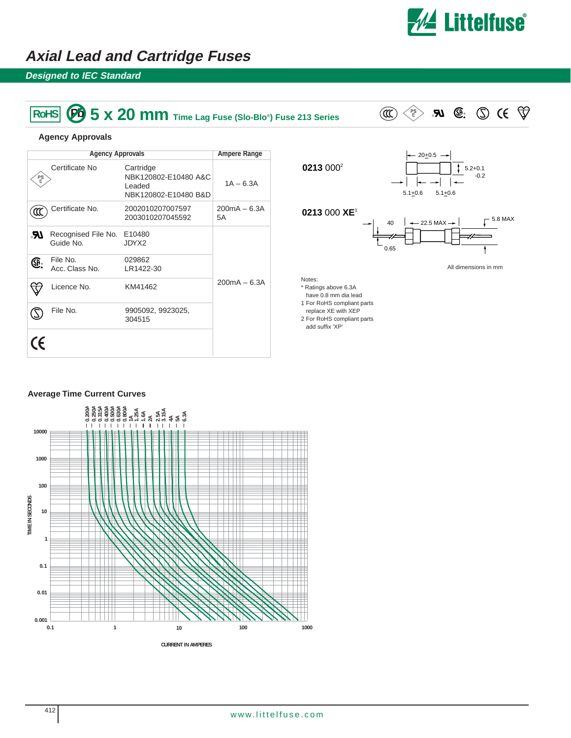

# **Axial Lead and Cartridge Fuses**

## **Designed to IEC Standard**

# $\overline{\text{ROHS}}$  **5 x 20 mm** Time Lag Fuse (Slo-Blo®) Fuse 213 Series  $\text{CO} \leq \text{Pb}$  **RJ**  $\text{O}$  **.**  $\text{O}$  **(** $\text{O}$



 $15.2+0.1$ 

 $20 + 0.5$ 

#### **Agency Approvals**

|         | <b>Agency Approvals</b>          | <b>Ampere Range</b>                                                 |                      |
|---------|----------------------------------|---------------------------------------------------------------------|----------------------|
| PS<br>E | Certificate No                   | Cartridge<br>NBK120802-E10480 A&C<br>Leaded<br>NBK120802-E10480 B&D | $1A - 6.3A$          |
|         | Certificate No.                  | 2002010207007597<br>2003010207045592                                | $200mA - 6.3A$<br>5A |
| .R.     | Recognised File No.<br>Guide No. | E10480<br>JDYX2                                                     |                      |
| ₲       | File No.<br>Acc. Class No.       | 029862<br>LR1422-30                                                 |                      |
|         | Licence No.                      | KM41462                                                             | $200mA - 6.3A$       |
|         | File No.                         | 9905092, 9923025,<br>304515                                         |                      |
| CE      |                                  |                                                                     |                      |



**0213** 0002

- 1 For RoHS compliant parts
- replace XE with XEP
- 2 For RoHS compliant parts add suffix 'XP'

### **Average Time Current Curves**

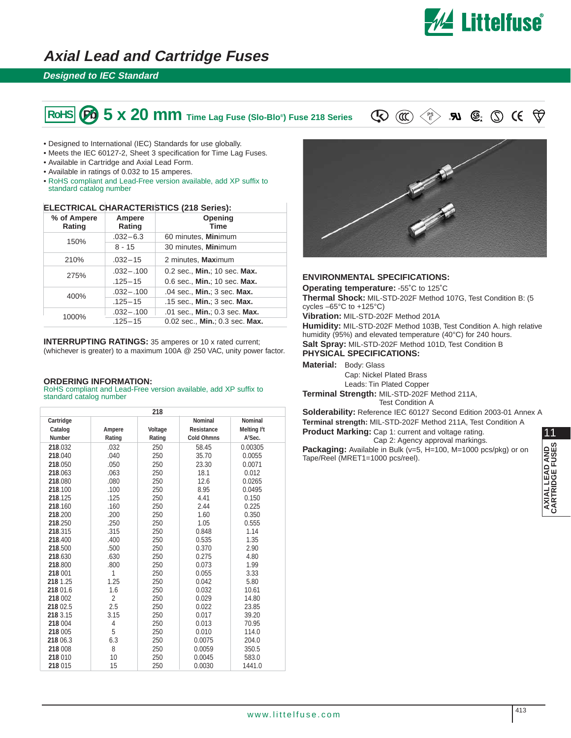

# **Axial Lead and Cartridge Fuses**

### **Designed to IEC Standard**

# **5 x 20 mm** Time Lag Fuse (Slo-Blo®) Fuse 218 Series  $\mathbb{Q} \times \mathbb{P}$  and  $\mathbb{Q} \times \mathbb{P}$  and  $\mathbb{Q} \times \mathbb{Q}$

- Designed to International (IEC) Standards for use globally.
- Meets the IEC 60127-2, Sheet 3 specification for Time Lag Fuses.
- Available in Cartridge and Axial Lead Form.
- Available in ratings of 0.032 to 15 amperes.
- RoHS compliant and Lead-Free version available, add XP suffix to standard catalog number

#### **ELECTRICAL CHARACTERISTICS (218 Series):**

|       | % of Ampere<br>Rating | Ampere<br>Rating              | Opening<br><b>Time</b>         |
|-------|-----------------------|-------------------------------|--------------------------------|
|       | 150%                  | $.032 - 6.3$                  | 60 minutes, Minimum            |
|       |                       | $8 - 15$                      | 30 minutes, Minimum            |
|       | 210%                  | $.032 - 15$                   | 2 minutes, Maximum             |
|       | 275%                  | $.032 - .100$                 | 0.2 sec., Min.; 10 sec. Max.   |
|       |                       | $.125 - 15$                   | 0.6 sec., Min.; 10 sec. Max.   |
| 400%  | $.032 - .100$         | .04 sec., Min.; 3 sec. Max.   |                                |
|       |                       | $.125 - 15$                   | .15 sec., Min.; 3 sec. Max.    |
| 1000% | $.032 - .100$         | .01 sec., Min.; 0.3 sec. Max. |                                |
|       |                       | $.125 - 15$                   | 0.02 sec., Min.; 0.3 sec. Max. |

**INTERRUPTING RATINGS:** 35 amperes or 10 x rated current; (whichever is greater) to a maximum 100A @ 250 VAC, unity power factor.

#### **ORDERING INFORMATION:**

RoHS compliant and Lead-Free version available, add XP suffix to standard catalog number

| 218           |                |         |                   |                        |
|---------------|----------------|---------|-------------------|------------------------|
| Cartridge     |                |         | Nominal           | Nominal                |
| Catalog       | Ampere         | Voltage | Resistance        | Melting <sup>2</sup> t |
| <b>Number</b> | Rating         | Rating  | <b>Cold Ohmns</b> | A <sup>2</sup> Sec.    |
| 218.032       | .032           | 250     | 58.45             | 0.00305                |
| 218.040       | .040           | 250     | 35.70             | 0.0055                 |
| 218.050       | .050           | 250     | 23.30             | 0.0071                 |
| 218,063       | .063           | 250     | 18.1              | 0.012                  |
| 218.080       | .080           | 250     | 12.6              | 0.0265                 |
| 218.100       | .100           | 250     | 8.95              | 0.0495                 |
| 218.125       | .125           | 250     | 4.41              | 0.150                  |
| 218.160       | .160           | 250     | 2.44              | 0.225                  |
| 218,200       | .200           | 250     | 1.60              | 0.350                  |
| 218.250       | .250           | 250     | 1.05              | 0.555                  |
| 218.315       | .315           | 250     | 0.848             | 1.14                   |
| 218,400       | .400           | 250     | 0.535             | 1.35                   |
| 218,500       | .500           | 250     | 0.370             | 2.90                   |
| 218.630       | .630           | 250     | 0.275             | 4.80                   |
| 218.800       | .800           | 250     | 0.073             | 1.99                   |
| 218 001       | 1              | 250     | 0.055             | 3.33                   |
| 218 1.25      | 1.25           | 250     | 0.042             | 5.80                   |
| 218 01.6      | 1.6            | 250     | 0.032             | 10.61                  |
| 218 002       | $\overline{2}$ | 250     | 0.029             | 14.80                  |
| 218 02.5      | 2.5            | 250     | 0.022             | 23.85                  |
| 218 3.15      | 3.15           | 250     | 0.017             | 39.20                  |
| 218 004       | 4              | 250     | 0.013             | 70.95                  |
| 218 005       | 5              | 250     | 0.010             | 114.0                  |
| 218 06.3      | 6.3            | 250     | 0.0075            | 204.0                  |
| 218 008       | 8              | 250     | 0.0059            | 350.5                  |
| 218 010       | 10             | 250     | 0.0045            | 583.0                  |
| 218 015       | 15             | 250     | 0.0030            | 1441.0                 |



#### **ENVIRONMENTAL SPECIFICATIONS:**

**Operating temperature:** -55˚C to 125˚C

**Thermal Shock:** MIL-STD-202F Method 107G, Test Condition B: (5 cycles –65°C to +125°C)

**Vibration:** MIL-STD-202F Method 201A

**Humidity:** MIL-STD-202F Method 103B, Test Condition A. high relative humidity (95%) and elevated temperature (40°C) for 240 hours. **Salt Spray:** MIL-STD-202F Method 101D, Test Condition B

**PHYSICAL SPECIFICATIONS:**

**Material:** Body: Glass

Cap: Nickel Plated Brass

Leads: Tin Plated Copper

**Terminal Strength:** MIL-STD-202F Method 211A, Test Condition A

**Solderability:** Reference IEC 60127 Second Edition 2003-01 Annex A **Terminal strength:** MIL-STD-202F Method 211A, Test Condition A

**Product Marking:** Cap 1: current and voltage rating. Cap 2: Agency approval markings.

Packaging: Available in Bulk (v=5, H=100, M=1000 pcs/pkg) or on Tape/Reel (MRET1=1000 pcs/reel).

11